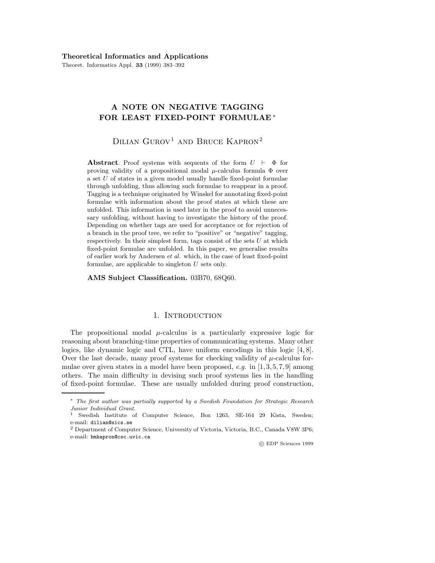Theoret. Informatics Appl. **33** (1999) 383–392

# **A NOTE ON NEGATIVE TAGGING FOR LEAST FIXED-POINT FORMULAE** ∗

DILIAN  $G$ UROV<sup>1</sup> AND BRUCE KAPRON<sup>2</sup>

**Abstract**. Proof systems with sequents of the form  $U \vdash \Phi$  for proving validity of a propositional modal  $\mu$ -calculus formula  $\Phi$  over a set U of states in a given model usually handle fixed-point formulae through unfolding, thus allowing such formulae to reappear in a proof. Tagging is a technique originated by Winskel for annotating fixed-point formulae with information about the proof states at which these are unfolded. This information is used later in the proof to avoid unnecessary unfolding, without having to investigate the history of the proof. Depending on whether tags are used for acceptance or for rejection of a branch in the proof tree, we refer to "positive" or "negative" tagging, respectively. In their simplest form, tags consist of the sets  $U$  at which fixed-point formulae are unfolded. In this paper, we generalise results of earlier work by Andersen et al. which, in the case of least fixed-point formulae, are applicable to singleton U sets only.

**AMS Subject Classification.** 03B70, 68Q60.

# 1. INTRODUCTION

The propositional modal  $\mu$ -calculus is a particularly expressive logic for reasoning about branching-time properties of communicating systems. Many other logics, like dynamic logic and CTL, have uniform encodings in this logic [4, 8]. Over the last decade, many proof systems for checking validity of  $\mu$ -calculus formulae over given states in a model have been proposed,  $e.g.$  in  $[1, 3, 5, 7, 9]$  among others. The main difficulty in devising such proof systems lies in the handling of fixed-point formulae. These are usually unfolded during proof construction,

c EDP Sciences 1999

<sup>∗</sup> The first author was partially supported by a Swedish Foundation for Strategic Research Junior Individual Grant.

<sup>1</sup> Swedish Institute of Computer Science, Box 1263, SE-164 29 Kista, Sweden; e-mail: dilian@sics.se

<sup>2</sup> Department of Computer Science, University of Victoria, Victoria, B.C., Canada V8W 3P6; e-mail: bmkapron@csc.uvic.ca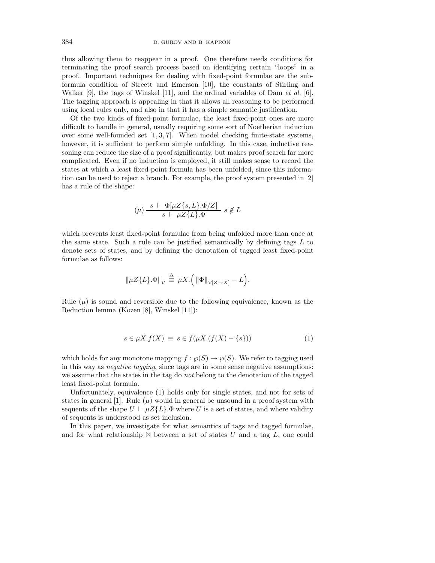thus allowing them to reappear in a proof. One therefore needs conditions for terminating the proof search process based on identifying certain "loops" in a proof. Important techniques for dealing with fixed-point formulae are the subformula condition of Streett and Emerson [10], the constants of Stirling and Walker [9], the tags of Winskel [11], and the ordinal variables of Dam *et al.* [6]. The tagging approach is appealing in that it allows all reasoning to be performed using local rules only, and also in that it has a simple semantic justification.

Of the two kinds of fixed-point formulae, the least fixed-point ones are more difficult to handle in general, usually requiring some sort of Noetherian induction over some well-founded set  $[1, 3, 7]$ . When model checking finite-state systems, however, it is sufficient to perform simple unfolding. In this case, inductive reasoning can reduce the size of a proof significantly, but makes proof search far more complicated. Even if no induction is employed, it still makes sense to record the states at which a least fixed-point formula has been unfolded, since this information can be used to reject a branch. For example, the proof system presented in [2] has a rule of the shape:

$$
(\mu) \frac{s + \Phi[\mu Z\{s, L\}.\Phi/Z]}{s + \mu Z\{L\}.\Phi} s \notin L
$$

which prevents least fixed-point formulae from being unfolded more than once at the same state. Such a rule can be justified semantically by defining tags  $L$  to denote sets of states, and by defining the denotation of tagged least fixed-point formulae as follows:

$$
\|\mu Z\{L\}.\Phi\|_{\mathcal{V}}\,\stackrel{\Delta}{\equiv}\, \mu X.\Big(\,\|\Phi\|_{\mathcal{V}[Z\mapsto X]}-L\Big).
$$

Rule  $(\mu)$  is sound and reversible due to the following equivalence, known as the Reduction lemma (Kozen [8], Winskel [11]):

$$
s \in \mu X.f(X) \equiv s \in f(\mu X.(f(X) - \{s\})) \tag{1}
$$

which holds for any monotone mapping  $f : \mathcal{O}(S) \to \mathcal{O}(S)$ . We refer to tagging used in this way as negative tagging, since tags are in some sense negative assumptions: we assume that the states in the tag do *not* belong to the denotation of the tagged least fixed-point formula.

Unfortunately, equivalence (1) holds only for single states, and not for sets of states in general [1]. Rule  $(\mu)$  would in general be unsound in a proof system with sequents of the shape  $U \vdash \mu Z \{L\}$ . $\Phi$  where U is a set of states, and where validity of sequents is understood as set inclusion.

In this paper, we investigate for what semantics of tags and tagged formulae, and for what relationship  $\bowtie$  between a set of states U and a tag L, one could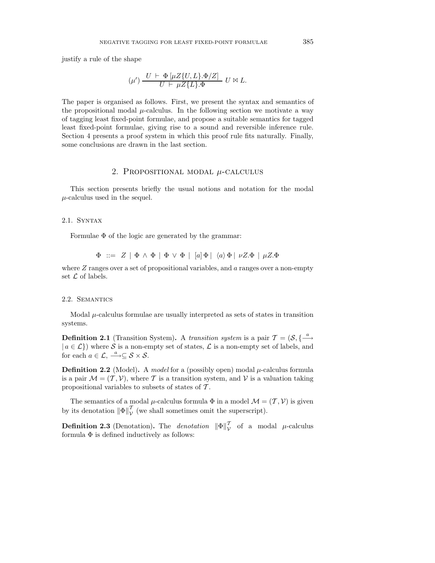justify a rule of the shape

$$
(\mu') \frac{U \vdash \Phi[\mu Z\{U, L\}.\Phi/Z]}{U \vdash \mu Z\{L\}.\Phi} U \bowtie L.
$$

The paper is organised as follows. First, we present the syntax and semantics of the propositional modal  $\mu$ -calculus. In the following section we motivate a way of tagging least fixed-point formulae, and propose a suitable semantics for tagged least fixed-point formulae, giving rise to a sound and reversible inference rule. Section 4 presents a proof system in which this proof rule fits naturally. Finally, some conclusions are drawn in the last section.

## 2. PROPOSITIONAL MODAL  $\mu$ -CALCULUS

This section presents briefly the usual notions and notation for the modal  $\mu$ -calculus used in the sequel.

#### 2.1. Syntax

Formulae  $\Phi$  of the logic are generated by the grammar:

$$
\Phi \ ::= \ Z \ | \ \Phi \wedge \Phi \ | \ \Phi \vee \Phi \ | \ [a] \Phi \ | \ \langle a \rangle \Phi \ | \ \nu Z. \Phi \ | \ \mu Z. \Phi
$$

where  $Z$  ranges over a set of propositional variables, and  $a$  ranges over a non-empty set  $\mathcal L$  of labels.

#### 2.2. Semantics

Modal  $\mu$ -calculus formulae are usually interpreted as sets of states in transition systems.

**Definition 2.1** (Transition System). A transition system is a pair  $T = (\mathcal{S}, \{\frac{a}{\longrightarrow}\})$  $| a \in \mathcal{L} \}$ ) where S is a non-empty set of states,  $\mathcal{L}$  is a non-empty set of labels, and for each  $a \in \mathcal{L}, \stackrel{a}{\longrightarrow} \subseteq \mathcal{S} \times \mathcal{S}.$ 

**Definition 2.2** (Model). A model for a (possibly open) modal  $\mu$ -calculus formula is a pair  $\mathcal{M} = (\mathcal{T}, \mathcal{V})$ , where T is a transition system, and V is a valuation taking propositional variables to subsets of states of  $\mathcal T$ .

The semantics of a modal  $\mu$ -calculus formula  $\Phi$  in a model  $\mathcal{M} = (\mathcal{T}, \mathcal{V})$  is given by its denotation  $\|\Phi\|_{\mathcal{V}}^{\mathcal{T}}$  (we shall sometimes omit the superscript).

**Definition 2.3** (Denotation). The *denotation*  $\|\Phi\|_{\mathcal{V}}^{\mathcal{T}}$  of a modal  $\mu$ -calculus formula  $\Phi$  is defined inductively as follows: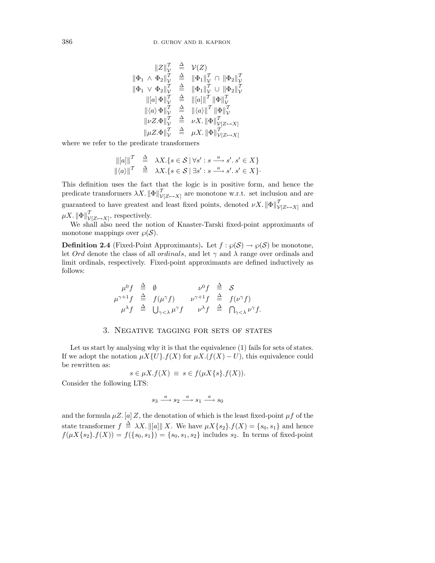$$
\begin{array}{rcl}\n\|Z\|_{\mathcal{V}}^{\mathcal{T}} & \triangleq & \mathcal{V}(Z) \\
\|\Phi_1 \wedge \Phi_2\|_{\mathcal{V}}^{\mathcal{T}} & \triangleq & \|\Phi_1\|_{\mathcal{V}}^{\mathcal{T}} \cap \|\Phi_2\|_{\mathcal{V}}^{\mathcal{T}} \\
\|\Phi_1 \vee \Phi_2\|_{\mathcal{V}}^{\mathcal{T}} & \triangleq & \|\Phi_1\|_{\mathcal{V}}^{\mathcal{T}} \cup \|\Phi_2\|_{\mathcal{V}}^{\mathcal{T}} \\
\| [a] \Phi \|_{\mathcal{V}}^{\mathcal{T}} & \triangleq & \| [a] \|_{\mathcal{V}}^{\mathcal{T}} \parallel \Phi \|_{\mathcal{V}}^{\mathcal{T}} \\
\|\langle a \rangle \Phi \|_{\mathcal{V}}^{\mathcal{T}} & \triangleq & \| \langle a \rangle \|_{\mathcal{T}}^{\mathcal{T}} \parallel \Phi \|_{\mathcal{V}}^{\mathcal{T}} \\
\|\nu Z.\Phi \|_{\mathcal{V}}^{\mathcal{T}} & \triangleq & \nu X. \parallel \Phi \|_{\mathcal{V}(Z \mapsto X)}^{\mathcal{T}} \\
\|\mu Z.\Phi \|_{\mathcal{V}}^{\mathcal{T}} & \triangleq & \mu X. \parallel \Phi \|_{\mathcal{V}(Z \mapsto X)}^{\mathcal{T}}\n\end{array}
$$

where we refer to the predicate transformers

$$
\begin{array}{rcl}\n\left\| [a] \right\|^T & \triangleq & \lambda X. \{ s \in \mathcal{S} \mid \forall s': s \stackrel{a}{\longrightarrow} s'. s' \in X \} \\
\left\| \langle a \rangle \right\|^T & \triangleq & \lambda X. \{ s \in \mathcal{S} \mid \exists s': s \stackrel{a}{\longrightarrow} s'. s' \in X \}.\n\end{array}
$$

This definition uses the fact that the logic is in positive form, and hence the predicate transformers  $\lambda X$ .  $\|\Phi\|_{\mathcal{V}[Z\mapsto X]}^{\mathcal{T}}$  are monotone w.r.t. set inclusion and are guaranteed to have greatest and least fixed points, denoted  $\nu X$ .  $\|\Phi\|_{\mathcal{V}[Z\mapsto X]}^{\mathcal{T}}$  and  $\mu X$ .  $\|\Phi\|_{\mathcal{V}[Z\mapsto X]}^{\mathcal{T}}$ , respectively.

We shall also need the notion of Knaster-Tarski fixed-point approximants of monotone mappings over  $\wp(\mathcal{S})$ .

**Definition 2.4** (Fixed-Point Approximants). Let  $f : \wp(S) \to \wp(S)$  be monotone, let Ord denote the class of all ordinals, and let  $\gamma$  and  $\lambda$  range over ordinals and limit ordinals, respectively. Fixed-point approximants are defined inductively as follows:

$$
\mu^0 f \stackrel{\Delta}{=} \emptyset \qquad \nu^0 f \stackrel{\Delta}{=} S
$$
\n
$$
\mu^{\gamma+1} f \stackrel{\Delta}{=} f(\mu^{\gamma} f) \qquad \nu^{\gamma+1} f \stackrel{\Delta}{=} f(\nu^{\gamma} f)
$$
\n
$$
\mu^{\lambda} f \stackrel{\Delta}{=} \bigcup_{\gamma < \lambda} \mu^{\gamma} f \qquad \nu^{\lambda} f \stackrel{\Delta}{=} \bigcap_{\gamma < \lambda} \nu^{\gamma} f.
$$

### 3. Negative tagging for sets of states

Let us start by analysing why it is that the equivalence (1) fails for sets of states. If we adopt the notation  $\mu X\{U\}$ .  $f(X)$  for  $\mu X$ . ( $f(X) - U$ ), this equivalence could be rewritten as:

$$
s \in \mu X.f(X) \equiv s \in f(\mu X\{s\}.f(X)).
$$

Consider the following LTS:

$$
s_3 \stackrel{a}{\longrightarrow} s_2 \stackrel{a}{\longrightarrow} s_1 \stackrel{a}{\longrightarrow} s_0
$$

and the formula  $\mu Z$ . [a] Z, the denotation of which is the least fixed-point  $\mu f$  of the state transformer  $f \triangleq \lambda X$ .  $\|[a]\| X$ . We have  $\mu X\{s_2\}$ .  $f(X) = \{s_0, s_1\}$  and hence  $f(\mu X\{s_2\}.f(X)) = f(\{s_0, s_1\}) = \{s_0, s_1, s_2\}$  includes  $s_2$ . In terms of fixed-point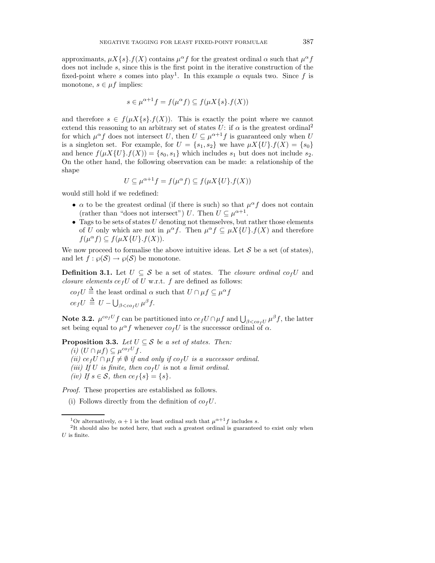approximants,  $\mu X\{s\}.f(X)$  contains  $\mu^{\alpha} f$  for the greatest ordinal  $\alpha$  such that  $\mu^{\alpha} f$ does not include s, since this is the first point in the iterative construction of the fixed-point where s comes into play<sup>1</sup>. In this example  $\alpha$  equals two. Since f is monotone,  $s \in \mu f$  implies:

$$
s \in \mu^{\alpha+1} f = f(\mu^{\alpha} f) \subseteq f(\mu X \{s\}.f(X))
$$

and therefore  $s \in f(\mu X\{s\}.f(X))$ . This is exactly the point where we cannot extend this reasoning to an arbitrary set of states U: if  $\alpha$  is the greatest ordinal<sup>2</sup> for which  $\mu^{\alpha} f$  does not intersect U, then  $U \subseteq \mu^{\alpha+1} f$  is guaranteed only when U is a singleton set. For example, for  $U = \{s_1, s_2\}$  we have  $\mu X \{U\}$ .  $f(X) = \{s_0\}$ and hence  $f(\mu X \{U\}, f(X)) = \{s_0, s_1\}$  which includes  $s_1$  but does not include  $s_2$ . On the other hand, the following observation can be made: a relationship of the shape

$$
U \subseteq \mu^{\alpha+1}f = f(\mu^{\alpha}f) \subseteq f(\mu X\{U\}.f(X))
$$

would still hold if we redefined:

- $\alpha$  to be the greatest ordinal (if there is such) so that  $\mu^{\alpha} f$  does not contain (rather than "does not intersect") U. Then  $U \subseteq \mu^{\alpha+1}$ .
- Tags to be sets of states  $U$  denoting not themselves, but rather those elements of U only which are not in  $\mu^{\alpha} f$ . Then  $\mu^{\alpha} f \subseteq \mu X \{U\}$ .  $f(X)$  and therefore  $f(\mu^{\alpha} f) \subseteq f(\mu X\{U\}.f(X)).$

We now proceed to formalise the above intuitive ideas. Let  $S$  be a set (of states), and let  $f : \wp(S) \to \wp(S)$  be monotone.

**Definition 3.1.** Let  $U \subseteq \mathcal{S}$  be a set of states. The *closure ordinal co<sub>f</sub>U* and closure elements  $ce_fU$  of U w.r.t. f are defined as follows:

 $co_f U \stackrel{\Delta}{=}$  the least ordinal  $\alpha$  such that  $U \cap \mu f \subseteq \mu^{\alpha} f$  $ce_fU \triangleq U - \bigcup_{\beta < cofU} \mu^{\beta} f.$ 

**Note 3.2.**  $\mu^{co_f U} f$  can be partitioned into  $ce_f U \cap \mu f$  and  $\bigcup_{\beta < co_f U} \mu^{\beta} f$ , the latter set being equal to  $\mu^{\alpha} f$  whenever  $\omega_f U$  is the successor ordinal of  $\alpha$ .

**Proposition 3.3.** Let  $U \subseteq S$  be a set of states. Then:

(i)  $(U \cap \mu f) \subseteq \mu^{co_f U} f$ . (ii) ce<sub>f</sub> $U \cap \mu f \neq \emptyset$  if and only if co<sub>f</sub> $U$  is a successor ordinal. (iii) If U is finite, then  $\cos U$  is not a limit ordinal. (iv) If  $s \in \mathcal{S}$ , then  $ce_f\{s\} = \{s\}.$ 

Proof. These properties are established as follows.

<sup>(</sup>i) Follows directly from the definition of  $\omega_f U$ .

<sup>&</sup>lt;sup>1</sup>Or alternatively,  $\alpha + 1$  is the least ordinal such that  $\mu^{\alpha+1} f$  includes s.

<sup>&</sup>lt;sup>2</sup>It should also be noted here, that such a greatest ordinal is guaranteed to exist only when  $U$  is finite.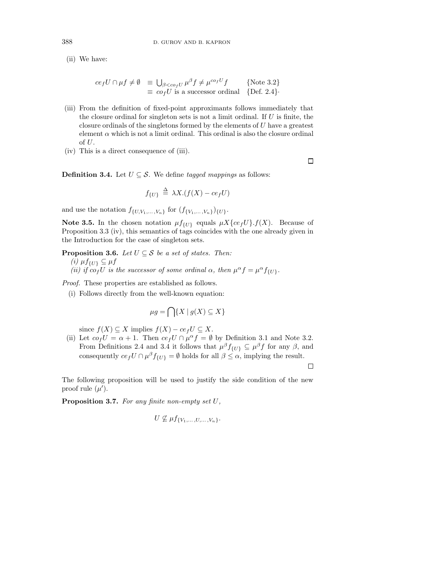(ii) We have:

$$
ce_f U \cap \mu f \neq \emptyset \equiv \bigcup_{\beta < co_f U} \mu^{\beta} f \neq \mu^{co_f U} f \qquad \{\text{Note 3.2}\}\
$$
  

$$
\equiv co_f U \text{ is a successor ordinal} \{ \text{Def. 2.4} \}.
$$

- (iii) From the definition of fixed-point approximants follows immediately that the closure ordinal for singleton sets is not a limit ordinal. If  $U$  is finite, the closure ordinals of the singletons formed by the elements of U have a greatest element  $\alpha$  which is not a limit ordinal. This ordinal is also the closure ordinal of  $U$ .
- (iv) This is a direct consequence of (iii).

**Definition 3.4.** Let  $U \subseteq S$ . We define tagged mappings as follows:

$$
f_{\{U\}} \stackrel{\Delta}{=} \lambda X.(f(X) - c e_f U)
$$

and use the notation  $f_{\{U, V_1,..., V_n\}}$  for  $(f_{\{V_1,..., V_n\}})_{\{U\}}$ .

**Note 3.5.** In the chosen notation  $\mu f_{\{U\}}$  equals  $\mu X \{ce_f U\} . f(X)$ . Because of Proposition 3.3 (iv), this semantics of tags coincides with the one already given in the Introduction for the case of singleton sets.

**Proposition 3.6.** Let  $U \subseteq S$  be a set of states. Then: (i)  $\mu f_{\{U\}} \subseteq \mu f$ (ii) if  $co_fU$  is the successor of some ordinal  $\alpha$ , then  $\mu^{\alpha} f = \mu^{\alpha} f_{\{U\}}$ .

Proof. These properties are established as follows.

(i) Follows directly from the well-known equation:

$$
\mu g = \bigcap \{ X \mid g(X) \subseteq X \}
$$

since  $f(X) \subseteq X$  implies  $f(X) - ce_f U \subseteq X$ .

(ii) Let  $co_f U = \alpha + 1$ . Then  $ce_f U \cap \mu^{\alpha} f = \emptyset$  by Definition 3.1 and Note 3.2. From Definitions 2.4 and 3.4 it follows that  $\mu^{\beta} f_{\{U\}} \subseteq \mu^{\beta} f$  for any  $\beta$ , and consequently  $ce_f U \cap \mu^\beta f_{\{U\}} = \emptyset$  holds for all  $\beta \leq \alpha$ , implying the result.

 $\Box$ 

 $\Box$ 

The following proposition will be used to justify the side condition of the new proof rule  $(\mu')$ .

**Proposition 3.7.** For any finite non-empty set U,

$$
U \nsubseteq \mu f_{\{V_1,\ldots,U,\ldots,V_n\}}.
$$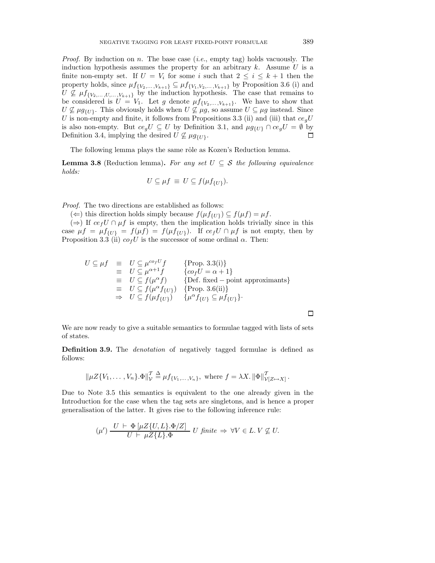*Proof.* By induction on n. The base case  $(i.e., empty tag)$  holds vacuously. The induction hypothesis assumes the property for an arbitrary  $k$ . Assume  $U$  is a finite non-empty set. If  $U = V_i$  for some i such that  $2 \leq i \leq k+1$  then the property holds, since  $\mu f_{\{V_2,\ldots,V_{k+1}\}} \subseteq \mu f_{\{V_1,V_2,\ldots,V_{k+1}\}}$  by Proposition 3.6 (i) and  $U \nsubseteq \mu f_{\{V_2,\ldots,V_{k+1}\}}$  by the induction hypothesis. The case that remains to be considered is  $U = V_1$ . Let g denote  $\mu f_{\{V_2,...,V_{k+1}\}}$ . We have to show that  $U \nsubseteq \mu g_{\{U\}}$ . This obviously holds when  $U \nsubseteq \mu g$ , so assume  $U \subseteq \mu g$  instead. Since U is non-empty and finite, it follows from Propositions 3.3 (ii) and (iii) that  $ce_qU$ is also non-empty. But  $ce_qU \subseteq U$  by Definition 3.1, and  $\mu g_{\{U\}} \cap ce_qU = \emptyset$  by Definition 3.4, implying the desired  $U \nsubseteq \mu g_{\{U\}}$ .  $\Box$ 

The following lemma plays the same rôle as Kozen's Reduction lemma.

**Lemma 3.8** (Reduction lemma). For any set  $U \subseteq S$  the following equivalence holds:

$$
U \subseteq \mu f \equiv U \subseteq f(\mu f_{\{U\}}).
$$

Proof. The two directions are established as follows:

(←) this direction holds simply because  $f(\mu f_{\{U\}}) \subseteq f(\mu f) = \mu f$ .

 $(\Rightarrow)$  If  $ce_f U \cap \mu f$  is empty, then the implication holds trivially since in this case  $\mu f = \mu f_{\{U\}} = f(\mu f) = f(\mu f_{\{U\}})$ . If  $ce_f U \cap \mu f$  is not empty, then by Proposition 3.3 (ii)  $\omega_f U$  is the successor of some ordinal  $\alpha$ . Then:

$$
U \subseteq \mu f \equiv U \subseteq \mu^{co_f U} f \quad \{\text{Prop. 3.3(i)}\}
$$
  
\n
$$
\equiv U \subseteq \mu^{\alpha+1} f \quad \{co_f U = \alpha + 1\}
$$
  
\n
$$
\equiv U \subseteq f(\mu^{\alpha} f) \quad \{\text{Def. fixed - point approximants}\}
$$
  
\n
$$
\equiv U \subseteq f(\mu^{\alpha} f_{\{U\}}) \quad \{\text{Prop. 3.6(ii)}\}
$$
  
\n
$$
\Rightarrow U \subseteq f(\mu f_{\{U\}}) \quad \{\mu^{\alpha} f_{\{U\}} \subseteq \mu f_{\{U\}}\}.
$$

 $\Box$ 

We are now ready to give a suitable semantics to formulae tagged with lists of sets of states.

**Definition 3.9.** The *denotation* of negatively tagged formulae is defined as follows:

$$
\|\mu Z\{V_1,\ldots,V_n\}.\Phi\|_{\mathcal{V}}^{\mathcal{T}} \stackrel{\Delta}{=} \mu f_{\{V_1,\ldots,V_n\}}, \text{ where } f = \lambda X. \|\Phi\|_{\mathcal{V}[Z\mapsto X]}^{\mathcal{T}}.
$$

Due to Note 3.5 this semantics is equivalent to the one already given in the Introduction for the case when the tag sets are singletons, and is hence a proper generalisation of the latter. It gives rise to the following inference rule:

$$
(\mu') \frac{U \vdash \Phi[\mu Z\{U, L\}.\Phi/Z]}{U \vdash \mu Z\{L\}.\Phi} U \text{ finite } \Rightarrow \forall V \in L. V \not\subseteq U.
$$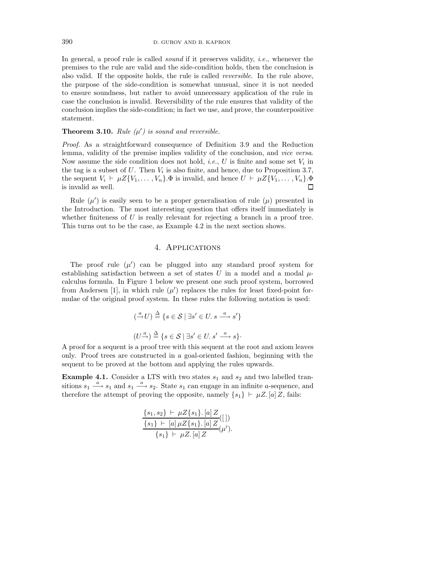In general, a proof rule is called *sound* if it preserves validity, *i.e.*, whenever the premises to the rule are valid and the side-condition holds, then the conclusion is also valid. If the opposite holds, the rule is called reversible. In the rule above, the purpose of the side-condition is somewhat unusual, since it is not needed to ensure soundness, but rather to avoid unnecessary application of the rule in case the conclusion is invalid. Reversibility of the rule ensures that validity of the conclusion implies the side-condition; in fact we use, and prove, the counterpositive statement.

## **Theorem 3.10.** Rule  $(\mu')$  is sound and reversible.

Proof. As a straightforward consequence of Definition 3.9 and the Reduction lemma, validity of the premise implies validity of the conclusion, and vice versa. Now assume the side condition does not hold, *i.e.*, U is finite and some set  $V_i$  in the tag is a subset of U. Then  $V_i$  is also finite, and hence, due to Proposition 3.7, the sequent  $V_i \vdash \mu Z \{V_1,\ldots,V_n\}$ . $\Phi$  is invalid, and hence  $U \vdash \mu Z \{V_1,\ldots,V_n\}$ . $\Phi$ is invalid as well.  $\Box$ 

Rule  $(\mu')$  is easily seen to be a proper generalisation of rule  $(\mu)$  presented in the Introduction. The most interesting question that offers itself immediately is whether finiteness of  $U$  is really relevant for rejecting a branch in a proof tree. This turns out to be the case, as Example 4.2 in the next section shows.

## 4. Applications

The proof rule  $(\mu')$  can be plugged into any standard proof system for establishing satisfaction between a set of states U in a model and a modal  $\mu$ calculus formula. In Figure 1 below we present one such proof system, borrowed from Andersen [1], in which rule  $(\mu')$  replaces the rules for least fixed-point formulae of the original proof system. In these rules the following notation is used:

$$
\begin{aligned} \left(\xrightarrow{a} U\right) &\stackrel{\Delta}{=} \{s \in \mathcal{S} \mid \exists s' \in U. \ s \xrightarrow{a} s'\} \\ \left(U \xrightarrow{a}\right) &\stackrel{\Delta}{=} \{s \in \mathcal{S} \mid \exists s' \in U. \ s' \xrightarrow{a} s\}.\end{aligned}
$$

A proof for a sequent is a proof tree with this sequent at the root and axiom leaves only. Proof trees are constructed in a goal-oriented fashion, beginning with the sequent to be proved at the bottom and applying the rules upwards.

**Example 4.1.** Consider a LTS with two states  $s_1$  and  $s_2$  and two labelled transitions  $s_1 \stackrel{a}{\longrightarrow} s_1$  and  $s_1 \stackrel{a}{\longrightarrow} s_2$ . State  $s_1$  can engage in an infinite *a*-sequence, and therefore the attempt of proving the opposite, namely  $\{s_1\} \vdash \mu Z$ . [a]Z, fails:

$$
\frac{\{s_1, s_2\} \vdash \mu Z\{s_1\}.\, [a] \, Z}{\{s_1\} \vdash [a] \, \mu Z\{s_1\}.\, [a] \, Z}_{\{s_1\} \vdash \mu Z.\, [a] \, Z}_{\mu'}).
$$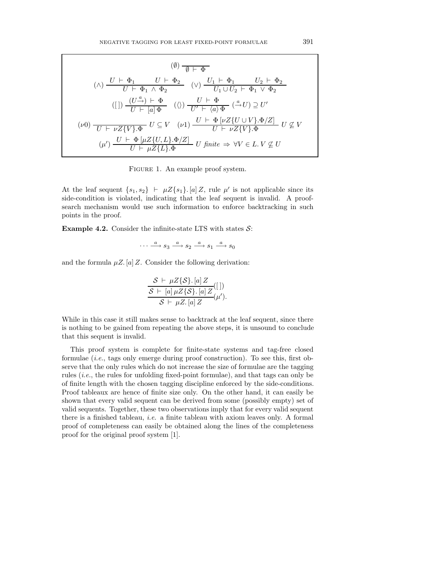$$
\begin{array}{c}\n(0) \quad & \overline{\emptyset + \Phi} \\
(\wedge) \quad & U \vdash \Phi_1 \quad & U \vdash \Phi_2 \\
\hline\n(U \vdash \Phi_1 \land \Phi_2 \quad & (\vee) \quad & U_1 \vdash \Phi_1 \quad & U_2 \vdash \Phi_2 \\
(U) \quad & U \vdash \Phi_1 \lor \Phi_2 \quad & \n\end{array}
$$
\n
$$
\begin{array}{c}\n([1]) \quad & (U \xrightarrow{\alpha}) \vdash \Phi \\
\hline\nU \vdash [a] \Phi \quad & (\wedge) \quad & U \vdash \Phi \\
\hline\nU \vdash [a] \Phi \quad & (\vee) \quad & U \vdash \Phi \left[ \nu Z \{ U \cup V \} . \Phi / Z \right] \\
(U \otimes U) \quad & \overline{U \vdash \nu Z \{ V \} . \Phi} \quad & U \subseteq V \\
(U) \quad & U \vdash \Phi \left[ \mu Z \{ U, L \} . \Phi / Z \right] \quad & U \text{ finite } \Rightarrow \forall V \in L. \ V \nsubseteq U\n\end{array}
$$

FIGURE 1. An example proof system.

At the leaf sequent  $\{s_1, s_2\} \vdash \mu Z \{s_1\}$ . [a] Z, rule  $\mu'$  is not applicable since its side-condition is violated, indicating that the leaf sequent is invalid. A proofsearch mechanism would use such information to enforce backtracking in such points in the proof.

**Example 4.2.** Consider the infinite-state LTS with states  $S$ :

$$
\cdots\stackrel{a}{\longrightarrow}s_3\stackrel{a}{\longrightarrow}s_2\stackrel{a}{\longrightarrow}s_1\stackrel{a}{\longrightarrow}s_0
$$

and the formula  $\mu Z$ . [a] Z. Consider the following derivation:

$$
\frac{\mathcal{S} \vdash \mu Z\{\mathcal{S}\}. [a] \, Z}{\mathcal{S} \vdash [a] \, \mu Z\{\mathcal{S}\}. [a] \, Z}([1])}{\mathcal{S} \vdash \mu Z. [a] \, Z}(\mu').
$$

While in this case it still makes sense to backtrack at the leaf sequent, since there is nothing to be gained from repeating the above steps, it is unsound to conclude that this sequent is invalid.

This proof system is complete for finite-state systems and tag-free closed formulae (i.e., tags only emerge during proof construction). To see this, first observe that the only rules which do not increase the size of formulae are the tagging rules  $(i.e.,$  the rules for unfolding fixed-point formulae), and that tags can only be of finite length with the chosen tagging discipline enforced by the side-conditions. Proof tableaux are hence of finite size only. On the other hand, it can easily be shown that every valid sequent can be derived from some (possibly empty) set of valid sequents. Together, these two observations imply that for every valid sequent there is a finished tableau, i.e. a finite tableau with axiom leaves only. A formal proof of completeness can easily be obtained along the lines of the completeness proof for the original proof system [1].